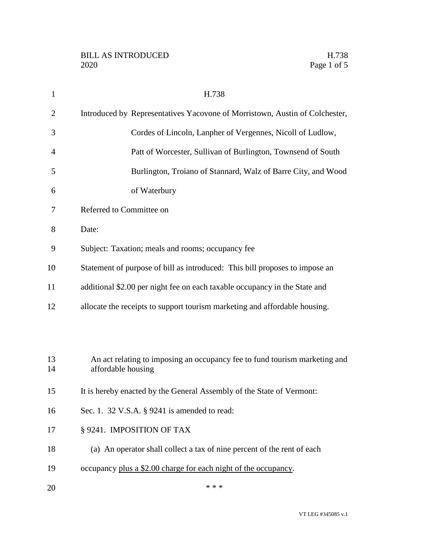| $\mathbf{1}$ | H.738                                                                                            |
|--------------|--------------------------------------------------------------------------------------------------|
| 2            | Introduced by Representatives Yacovone of Morristown, Austin of Colchester,                      |
| 3            | Cordes of Lincoln, Lanpher of Vergennes, Nicoll of Ludlow,                                       |
| 4            | Patt of Worcester, Sullivan of Burlington, Townsend of South                                     |
| 5            | Burlington, Troiano of Stannard, Walz of Barre City, and Wood                                    |
| 6            | of Waterbury                                                                                     |
| 7            | Referred to Committee on                                                                         |
| 8            | Date:                                                                                            |
| 9            | Subject: Taxation; meals and rooms; occupancy fee                                                |
| 10           | Statement of purpose of bill as introduced: This bill proposes to impose an                      |
| 11           | additional \$2.00 per night fee on each taxable occupancy in the State and                       |
| 12           | allocate the receipts to support tourism marketing and affordable housing.                       |
|              |                                                                                                  |
|              |                                                                                                  |
| 13<br>14     | An act relating to imposing an occupancy fee to fund tourism marketing and<br>affordable housing |
| 15           | It is hereby enacted by the General Assembly of the State of Vermont:                            |
| 16           | Sec. 1. 32 V.S.A. § 9241 is amended to read:                                                     |
| 17           | § 9241. IMPOSITION OF TAX                                                                        |
| 18           | (a) An operator shall collect a tax of nine percent of the rent of each                          |
|              |                                                                                                  |
| 19           | occupancy plus a \$2.00 charge for each night of the occupancy.                                  |
| 20           | * * *                                                                                            |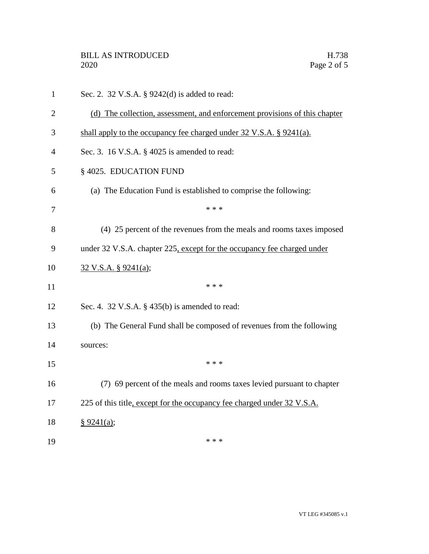| $\mathbf{1}$   | Sec. 2. 32 V.S.A. § 9242(d) is added to read:                              |
|----------------|----------------------------------------------------------------------------|
| $\overline{2}$ | (d) The collection, assessment, and enforcement provisions of this chapter |
| 3              | shall apply to the occupancy fee charged under 32 V.S.A. § 9241(a).        |
| 4              | Sec. 3. 16 V.S.A. § 4025 is amended to read:                               |
| 5              | § 4025. EDUCATION FUND                                                     |
| 6              | (a) The Education Fund is established to comprise the following:           |
| 7              | * * *                                                                      |
| 8              | (4) 25 percent of the revenues from the meals and rooms taxes imposed      |
| 9              | under 32 V.S.A. chapter 225, except for the occupancy fee charged under    |
| 10             | 32 V.S.A. § 9241(a);                                                       |
| 11             | * * *                                                                      |
| 12             | Sec. 4. 32 V.S.A. $\S$ 435(b) is amended to read:                          |
| 13             | (b) The General Fund shall be composed of revenues from the following      |
| 14             | sources:                                                                   |
| 15             | * * *                                                                      |
| 16             | (7) 69 percent of the meals and rooms taxes levied pursuant to chapter     |
| 17             | 225 of this title, except for the occupancy fee charged under 32 V.S.A.    |
| 18             | § 9241(a);                                                                 |
| 19             | * * *                                                                      |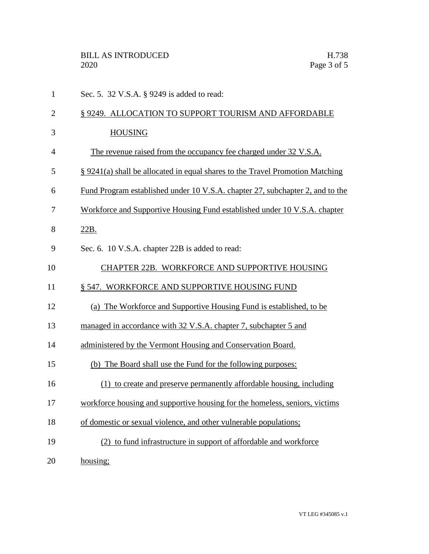| $\mathbf{1}$   | Sec. 5. 32 V.S.A. § 9249 is added to read:                                           |
|----------------|--------------------------------------------------------------------------------------|
| $\overline{2}$ | § 9249. ALLOCATION TO SUPPORT TOURISM AND AFFORDABLE                                 |
| 3              | <b>HOUSING</b>                                                                       |
| $\overline{4}$ | The revenue raised from the occupancy fee charged under 32 V.S.A.                    |
| 5              | § 9241(a) shall be allocated in equal shares to the Travel Promotion Matching        |
| 6              | <u>Fund Program established under 10 V.S.A. chapter 27, subchapter 2, and to the</u> |
| 7              | Workforce and Supportive Housing Fund established under 10 V.S.A. chapter            |
| 8              | 22B.                                                                                 |
| 9              | Sec. 6. 10 V.S.A. chapter 22B is added to read:                                      |
| 10             | CHAPTER 22B. WORKFORCE AND SUPPORTIVE HOUSING                                        |
| 11             | § 547. WORKFORCE AND SUPPORTIVE HOUSING FUND                                         |
| 12             | (a) The Workforce and Supportive Housing Fund is established, to be                  |
| 13             | managed in accordance with 32 V.S.A. chapter 7, subchapter 5 and                     |
| 14             | administered by the Vermont Housing and Conservation Board.                          |
| 15             | (b) The Board shall use the Fund for the following purposes:                         |
| 16             | (1) to create and preserve permanently affordable housing, including                 |
| 17             | workforce housing and supportive housing for the homeless, seniors, victims          |
| 18             | of domestic or sexual violence, and other vulnerable populations;                    |
| 19             | (2) to fund infrastructure in support of affordable and workforce                    |
| 20             | housing;                                                                             |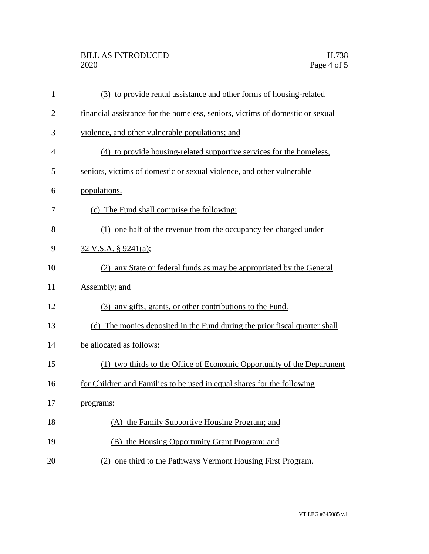## BILL AS INTRODUCED H.738<br>2020 Page 4 of 5

| $\mathbf{1}$   | (3) to provide rental assistance and other forms of housing-related           |
|----------------|-------------------------------------------------------------------------------|
| $\overline{2}$ | financial assistance for the homeless, seniors, victims of domestic or sexual |
| 3              | violence, and other vulnerable populations; and                               |
| $\overline{4}$ | (4) to provide housing-related supportive services for the homeless,          |
| 5              | seniors, victims of domestic or sexual violence, and other vulnerable         |
| 6              | populations.                                                                  |
| 7              | (c) The Fund shall comprise the following:                                    |
| 8              | (1) one half of the revenue from the occupancy fee charged under              |
| 9              | $32 \text{ V.S.A. }$ § 9241(a);                                               |
| 10             | (2) any State or federal funds as may be appropriated by the General          |
| 11             | Assembly; and                                                                 |
| 12             | (3) any gifts, grants, or other contributions to the Fund.                    |
| 13             | (d) The monies deposited in the Fund during the prior fiscal quarter shall    |
| 14             | be allocated as follows:                                                      |
| 15             | (1) two thirds to the Office of Economic Opportunity of the Department        |
| 16             | for Children and Families to be used in equal shares for the following        |
| 17             | programs:                                                                     |
| 18             | (A) the Family Supportive Housing Program; and                                |
| 19             | (B) the Housing Opportunity Grant Program; and                                |
| 20             | (2) one third to the Pathways Vermont Housing First Program.                  |